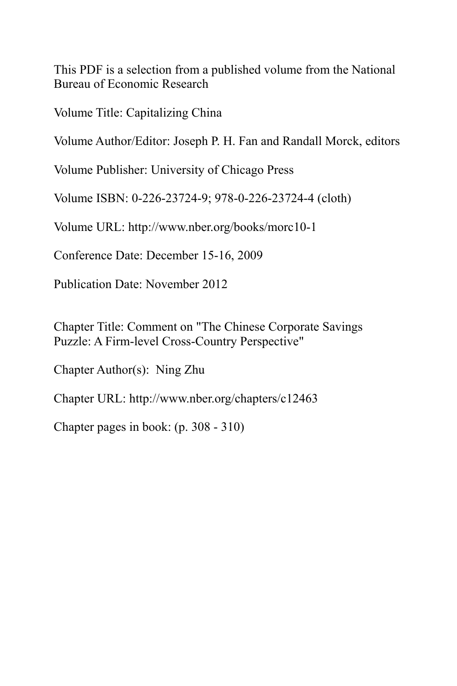This PDF is a selection from a published volume from the National Bureau of Economic Research

Volume Title: Capitalizing China

Volume Author/Editor: Joseph P. H. Fan and Randall Morck, editors

Volume Publisher: University of Chicago Press

Volume ISBN: 0-226-23724-9; 978-0-226-23724-4 (cloth)

Volume URL: http://www.nber.org/books/morc10-1

Conference Date: December 15-16, 2009

Publication Date: November 2012

Chapter Title: Comment on "The Chinese Corporate Savings Puzzle: A Firm-level Cross-Country Perspective"

Chapter Author(s): Ning Zhu

Chapter URL: http://www.nber.org/chapters/c12463

Chapter pages in book: (p. 308 - 310)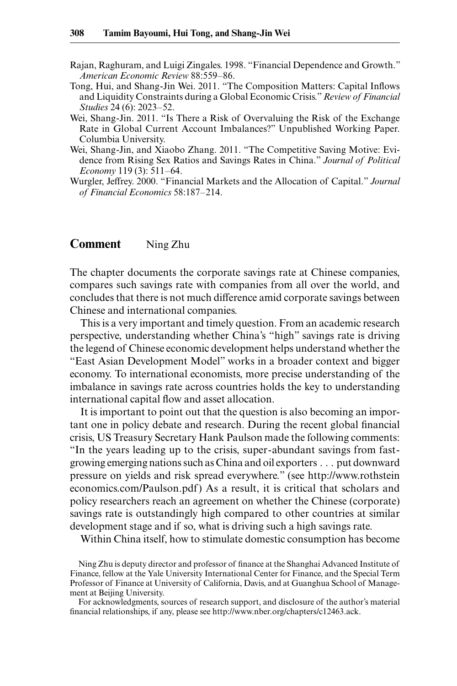- Rajan, Raghuram, and Luigi Zingales. 1998. "Financial Dependence and Growth." *American Economic Review* 88:559– 86.
- Tong, Hui, and Shang-Jin Wei. 2011. "The Composition Matters: Capital Inflows and Liquidity Constraints during a Global Economic Crisis." *Review of Financial Studies* 24 (6): 2023–52.
- Wei, Shang-Jin. 2011. "Is There a Risk of Overvaluing the Risk of the Exchange Rate in Global Current Account Imbalances?" Unpublished Working Paper. Columbia University.
- Wei, Shang-Jin, and Xiaobo Zhang. 2011. "The Competitive Saving Motive: Evidence from Rising Sex Ratios and Savings Rates in China." *Journal of Political Economy* 119 (3): 511-64.
- Wurgler, Jeffrey. 2000. "Financial Markets and the Allocation of Capital." *Journal*  of Financial Economics 58:187-214.

## **Comment** Ning Zhu

The chapter documents the corporate savings rate at Chinese companies, compares such savings rate with companies from all over the world, and concludes that there is not much difference amid corporate savings between Chinese and international companies.

This is a very important and timely question. From an academic research perspective, understanding whether China's "high" savings rate is driving the legend of Chinese economic development helps understand whether the "East Asian Development Model" works in a broader context and bigger economy. To international economists, more precise understanding of the imbalance in savings rate across countries holds the key to understanding international capital flow and asset allocation.

It is important to point out that the question is also becoming an important one in policy debate and research. During the recent global financial crisis, US Treasury Secretary Hank Paulson made the following comments: "In the years leading up to the crisis, super- abundant savings from fastgrowing emerging nations such as China and oil exporters . . . put downward pressure on yields and risk spread everywhere." (see http:// www .rothstein economics.com/Paulson.pdf) As a result, it is critical that scholars and policy researchers reach an agreement on whether the Chinese (corporate) savings rate is outstandingly high compared to other countries at similar development stage and if so, what is driving such a high savings rate.

Within China itself, how to stimulate domestic consumption has become

Ning Zhu is deputy director and professor of finance at the Shanghai Advanced Institute of Finance, fellow at the Yale University International Center for Finance, and the Special Term Professor of Finance at University of California, Davis, and at Guanghua School of Management at Beijing University.

For acknowledgments, sources of research support, and disclosure of the author's material financial relationships, if any, please see http://www.nber.org/chapters/c12463.ack.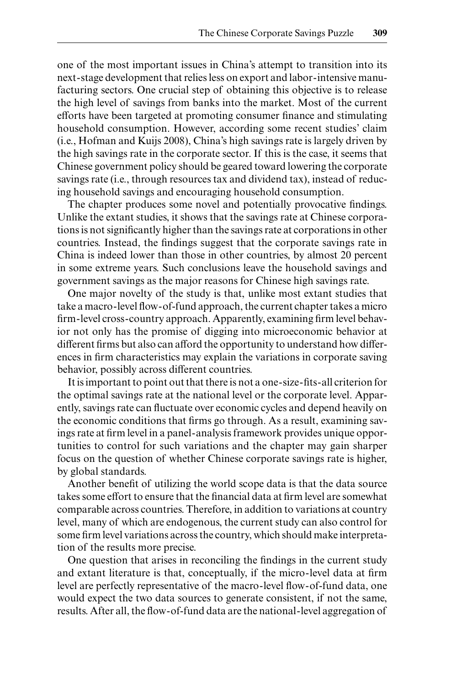one of the most important issues in China's attempt to transition into its next- stage development that relies less on export and labor- intensive manufacturing sectors. One crucial step of obtaining this objective is to release the high level of savings from banks into the market. Most of the current efforts have been targeted at promoting consumer finance and stimulating household consumption. However, according some recent studies' claim (i.e., Hofman and Kuijs 2008), China's high savings rate is largely driven by the high savings rate in the corporate sector. If this is the case, it seems that Chinese government policy should be geared toward lowering the corporate savings rate (i.e., through resources tax and dividend tax), instead of reducing household savings and encouraging household consumption.

The chapter produces some novel and potentially provocative findings. Unlike the extant studies, it shows that the savings rate at Chinese corporations is not significantly higher than the savings rate at corporations in other countries. Instead, the findings suggest that the corporate savings rate in China is indeed lower than those in other countries, by almost 20 percent in some extreme years. Such conclusions leave the household savings and government savings as the major reasons for Chinese high savings rate.

One major novelty of the study is that, unlike most extant studies that take a macro-level flow-of-fund approach, the current chapter takes a micro firm-level cross-country approach. Apparently, examining firm level behavior not only has the promise of digging into microeconomic behavior at different firms but also can afford the opportunity to understand how differences in firm characteristics may explain the variations in corporate saving behavior, possibly across different countries.

It is important to point out that there is not a one-size-fits-all criterion for the optimal savings rate at the national level or the corporate level. Apparently, savings rate can fluctuate over economic cycles and depend heavily on the economic conditions that firms go through. As a result, examining savings rate at firm level in a panel-analysis framework provides unique opportunities to control for such variations and the chapter may gain sharper focus on the question of whether Chinese corporate savings rate is higher, by global standards.

Another benefit of utilizing the world scope data is that the data source takes some effort to ensure that the financial data at firm level are somewhat comparable across countries. Therefore, in addition to variations at country level, many of which are endogenous, the current study can also control for some firm level variations across the country, which should make interpretation of the results more precise.

One question that arises in reconciling the findings in the current study and extant literature is that, conceptually, if the micro-level data at firm level are perfectly representative of the macro-level flow-of-fund data, one would expect the two data sources to generate consistent, if not the same, results. After all, the flow-of-fund data are the national-level aggregation of